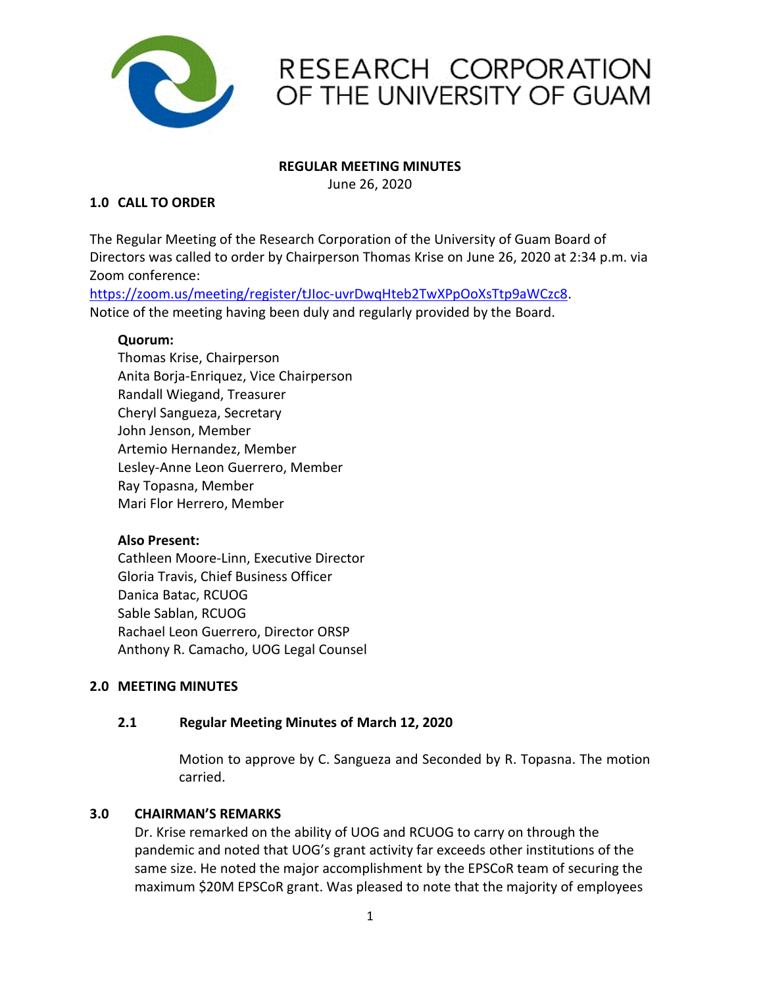

## RESEARCH CORPORATION OF THE UNIVERSITY OF GUAM

#### **REGULAR MEETING MINUTES**

June 26, 2020

## **1.0 CALL TO ORDER**

The Regular Meeting of the Research Corporation of the University of Guam Board of Directors was called to order by Chairperson Thomas Krise on June 26, 2020 at 2:34 p.m. via Zoom conference:

https://zoom.us/meeting/register/tJIoc-uvrDwqHteb2TwXPpOoXsTtp9aWCzc8. Notice of the meeting having been duly and regularly provided by the Board.

## **Quorum:**

Thomas Krise, Chairperson Anita Borja-Enriquez, Vice Chairperson Randall Wiegand, Treasurer Cheryl Sangueza, Secretary John Jenson, Member Artemio Hernandez, Member Lesley-Anne Leon Guerrero, Member Ray Topasna, Member Mari Flor Herrero, Member

## **Also Present:**

Cathleen Moore-Linn, Executive Director Gloria Travis, Chief Business Officer Danica Batac, RCUOG Sable Sablan, RCUOG Rachael Leon Guerrero, Director ORSP Anthony R. Camacho, UOG Legal Counsel

## **2.0 MEETING MINUTES**

## **2.1 Regular Meeting Minutes of March 12, 2020**

Motion to approve by C. Sangueza and Seconded by R. Topasna. The motion carried.

#### **3.0 CHAIRMAN'S REMARKS**

Dr. Krise remarked on the ability of UOG and RCUOG to carry on through the pandemic and noted that UOG's grant activity far exceeds other institutions of the same size. He noted the major accomplishment by the EPSCoR team of securing the maximum \$20M EPSCoR grant. Was pleased to note that the majority of employees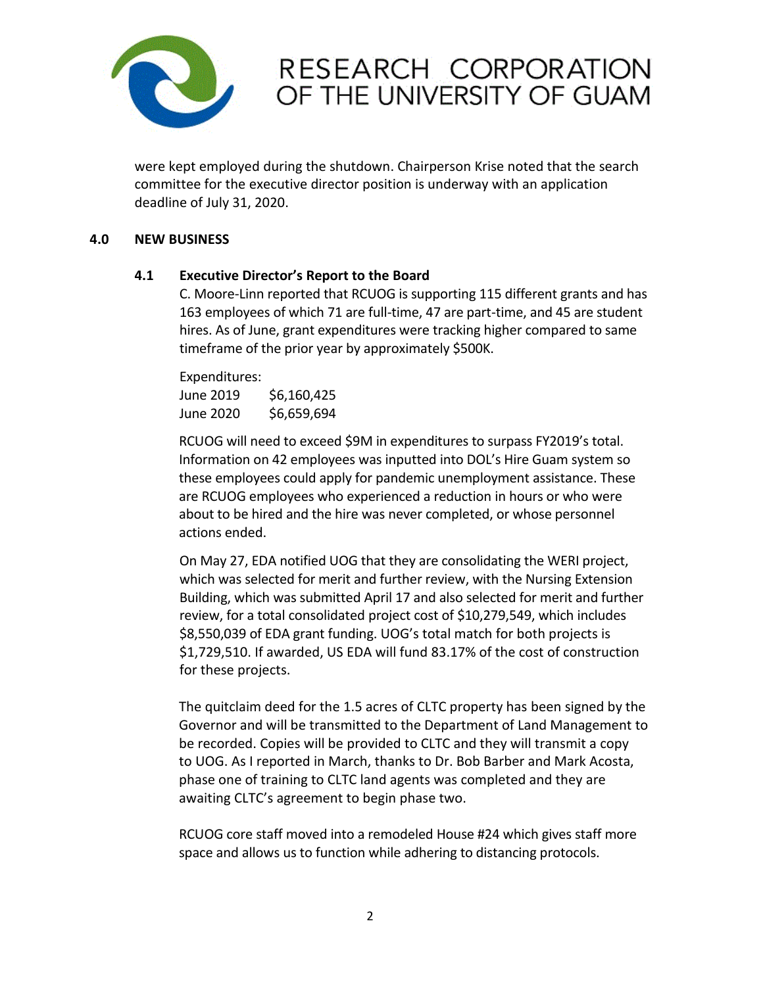

## RESEARCH CORPORATION OF THE UNIVERSITY OF GUAM

were kept employed during the shutdown. Chairperson Krise noted that the search committee for the executive director position is underway with an application deadline of July 31, 2020.

### **4.0 NEW BUSINESS**

## **4.1 Executive Director's Report to the Board**

C. Moore-Linn reported that RCUOG is supporting 115 different grants and has 163 employees of which 71 are full-time, 47 are part-time, and 45 are student hires. As of June, grant expenditures were tracking higher compared to same timeframe of the prior year by approximately \$500K.

Expenditures: June 2019 \$6,160,425 June 2020 \$6,659,694

RCUOG will need to exceed \$9M in expenditures to surpass FY2019's total. Information on 42 employees was inputted into DOL's Hire Guam system so these employees could apply for pandemic unemployment assistance. These are RCUOG employees who experienced a reduction in hours or who were about to be hired and the hire was never completed, or whose personnel actions ended.

On May 27, EDA notified UOG that they are consolidating the WERI project, which was selected for merit and further review, with the Nursing Extension Building, which was submitted April 17 and also selected for merit and further review, for a total consolidated project cost of \$10,279,549, which includes \$8,550,039 of EDA grant funding. UOG's total match for both projects is \$1,729,510. If awarded, US EDA will fund 83.17% of the cost of construction for these projects.

The quitclaim deed for the 1.5 acres of CLTC property has been signed by the Governor and will be transmitted to the Department of Land Management to be recorded. Copies will be provided to CLTC and they will transmit a copy to UOG. As I reported in March, thanks to Dr. Bob Barber and Mark Acosta, phase one of training to CLTC land agents was completed and they are awaiting CLTC's agreement to begin phase two.

RCUOG core staff moved into a remodeled House #24 which gives staff more space and allows us to function while adhering to distancing protocols.